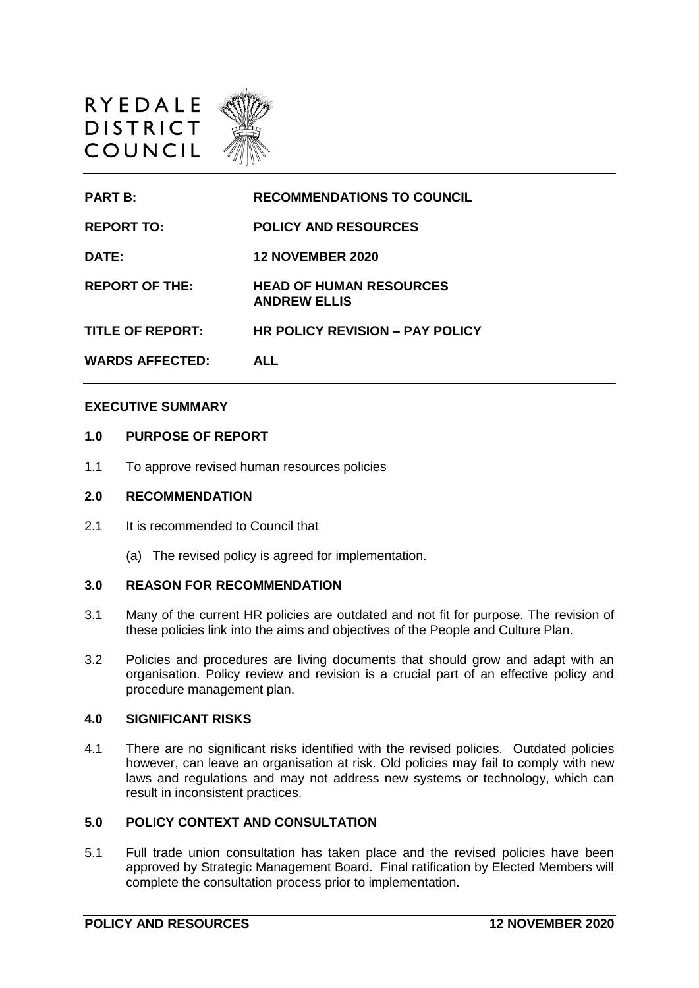

| <b>PART B:</b>          | <b>RECOMMENDATIONS TO COUNCIL</b>                     |
|-------------------------|-------------------------------------------------------|
| <b>REPORT TO:</b>       | <b>POLICY AND RESOURCES</b>                           |
| DATE:                   | <b>12 NOVEMBER 2020</b>                               |
| <b>REPORT OF THE:</b>   | <b>HEAD OF HUMAN RESOURCES</b><br><b>ANDREW ELLIS</b> |
| <b>TITLE OF REPORT:</b> | <b>HR POLICY REVISION - PAY POLICY</b>                |
| <b>WARDS AFFECTED:</b>  | <b>ALL</b>                                            |

### **EXECUTIVE SUMMARY**

## **1.0 PURPOSE OF REPORT**

1.1 To approve revised human resources policies

### **2.0 RECOMMENDATION**

- 2.1 It is recommended to Council that
	- (a) The revised policy is agreed for implementation.

### **3.0 REASON FOR RECOMMENDATION**

- 3.1 Many of the current HR policies are outdated and not fit for purpose. The revision of these policies link into the aims and objectives of the People and Culture Plan.
- 3.2 Policies and procedures are living documents that should grow and adapt with an organisation. Policy review and revision is a crucial part of an effective policy and procedure management plan.

## **4.0 SIGNIFICANT RISKS**

4.1 There are no significant risks identified with the revised policies. Outdated policies however, can leave an organisation at risk. Old policies may fail to comply with new laws and regulations and may not address new systems or technology, which can result in inconsistent practices.

## **5.0 POLICY CONTEXT AND CONSULTATION**

5.1 Full trade union consultation has taken place and the revised policies have been approved by Strategic Management Board. Final ratification by Elected Members will complete the consultation process prior to implementation.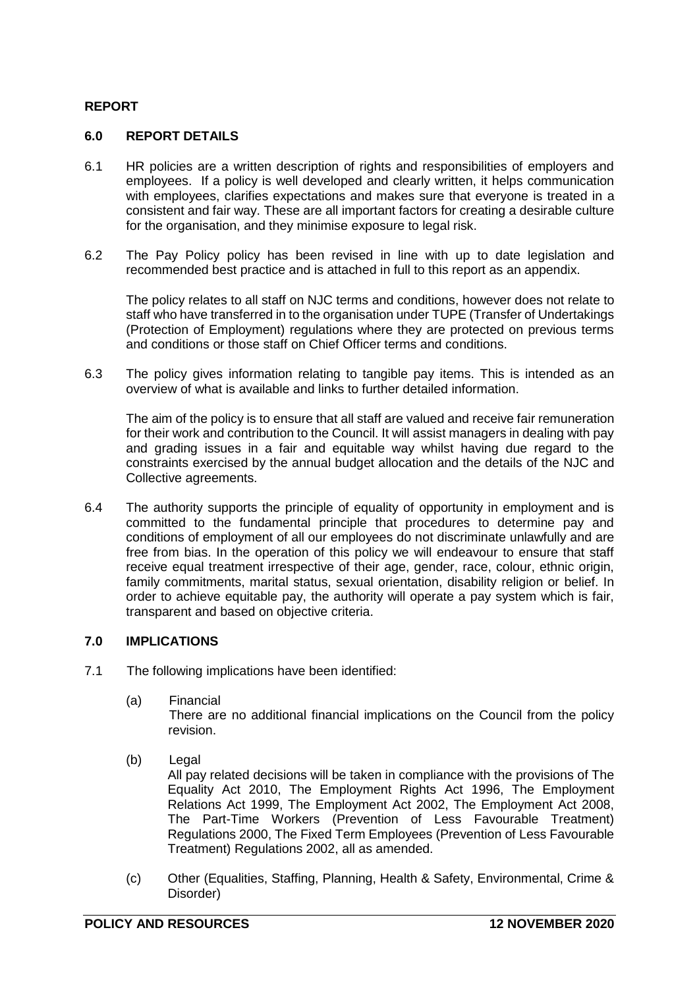## **REPORT**

## **6.0 REPORT DETAILS**

- 6.1 HR policies are a written description of rights and responsibilities of employers and employees. If a policy is well developed and clearly written, it helps communication with employees, clarifies expectations and makes sure that everyone is treated in a consistent and fair way. These are all important factors for creating a desirable culture for the organisation, and they minimise exposure to legal risk.
- 6.2 The Pay Policy policy has been revised in line with up to date legislation and recommended best practice and is attached in full to this report as an appendix.

The policy relates to all staff on NJC terms and conditions, however does not relate to staff who have transferred in to the organisation under TUPE (Transfer of Undertakings (Protection of Employment) regulations where they are protected on previous terms and conditions or those staff on Chief Officer terms and conditions.

6.3 The policy gives information relating to tangible pay items. This is intended as an overview of what is available and links to further detailed information.

The aim of the policy is to ensure that all staff are valued and receive fair remuneration for their work and contribution to the Council. It will assist managers in dealing with pay and grading issues in a fair and equitable way whilst having due regard to the constraints exercised by the annual budget allocation and the details of the NJC and Collective agreements.

6.4 The authority supports the principle of equality of opportunity in employment and is committed to the fundamental principle that procedures to determine pay and conditions of employment of all our employees do not discriminate unlawfully and are free from bias. In the operation of this policy we will endeavour to ensure that staff receive equal treatment irrespective of their age, gender, race, colour, ethnic origin, family commitments, marital status, sexual orientation, disability religion or belief. In order to achieve equitable pay, the authority will operate a pay system which is fair, transparent and based on objective criteria.

## **7.0 IMPLICATIONS**

- 7.1 The following implications have been identified:
	- (a) Financial There are no additional financial implications on the Council from the policy revision.
	- (b) Legal All pay related decisions will be taken in compliance with the provisions of The Equality Act 2010, The Employment Rights Act 1996, The Employment Relations Act 1999, The Employment Act 2002, The Employment Act 2008, The Part-Time Workers (Prevention of Less Favourable Treatment) Regulations 2000, The Fixed Term Employees (Prevention of Less Favourable Treatment) Regulations 2002, all as amended.
	- (c) Other (Equalities, Staffing, Planning, Health & Safety, Environmental, Crime & Disorder)